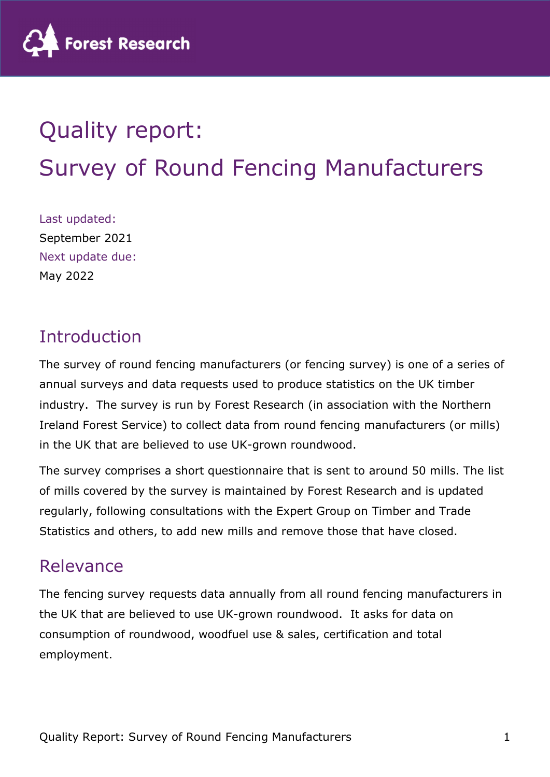

# Quality report: Survey of Round Fencing Manufacturers

Last updated: September 2021 Next update due: May 2022

## Introduction

The survey of round fencing manufacturers (or fencing survey) is one of a series of annual surveys and data requests used to produce statistics on the UK timber industry. The survey is run by Forest Research (in association with the Northern Ireland Forest Service) to collect data from round fencing manufacturers (or mills) in the UK that are believed to use UK-grown roundwood.

The survey comprises a short questionnaire that is sent to around 50 mills. The list of mills covered by the survey is maintained by Forest Research and is updated regularly, following consultations with the Expert Group on Timber and Trade Statistics and others, to add new mills and remove those that have closed.

## Relevance

The fencing survey requests data annually from all round fencing manufacturers in the UK that are believed to use UK-grown roundwood. It asks for data on consumption of roundwood, woodfuel use & sales, certification and total employment.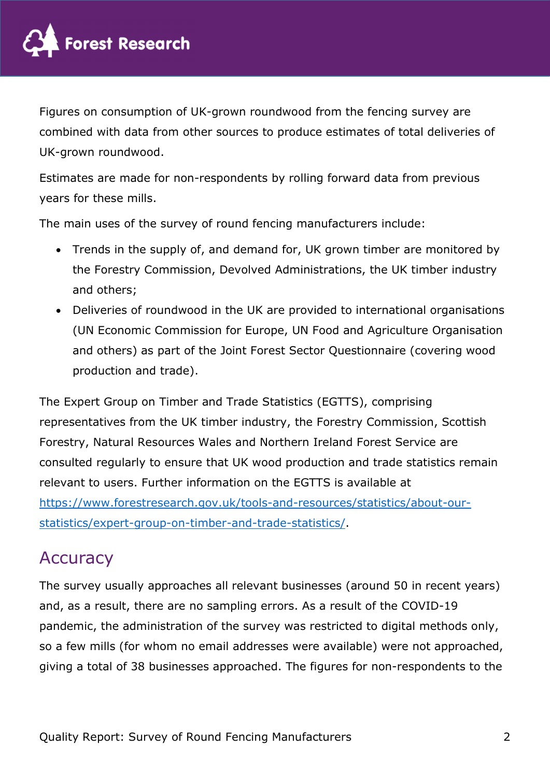

Figures on consumption of UK-grown roundwood from the fencing survey are combined with data from other sources to produce estimates of total deliveries of UK-grown roundwood.

Estimates are made for non-respondents by rolling forward data from previous years for these mills.

The main uses of the survey of round fencing manufacturers include:

- Trends in the supply of, and demand for, UK grown timber are monitored by the Forestry Commission, Devolved Administrations, the UK timber industry and others;
- Deliveries of roundwood in the UK are provided to international organisations (UN Economic Commission for Europe, UN Food and Agriculture Organisation and others) as part of the Joint Forest Sector Questionnaire (covering wood production and trade).

The Expert Group on Timber and Trade Statistics (EGTTS), comprising representatives from the UK timber industry, the Forestry Commission, Scottish Forestry, Natural Resources Wales and Northern Ireland Forest Service are consulted regularly to ensure that UK wood production and trade statistics remain relevant to users. Further information on the EGTTS is available at https://www.forestresearch.gov.uk/tools-and-resources/statistics/about-ourstatistics/expert-group-on-timber-and-trade-statistics/.

## **Accuracy**

The survey usually approaches all relevant businesses (around 50 in recent years) and, as a result, there are no sampling errors. As a result of the COVID-19 pandemic, the administration of the survey was restricted to digital methods only, so a few mills (for whom no email addresses were available) were not approached, giving a total of 38 businesses approached. The figures for non-respondents to the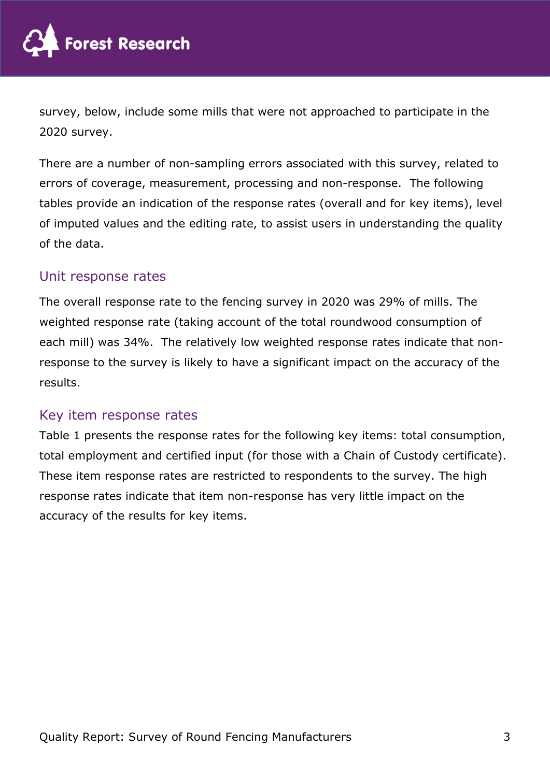

survey, below, include some mills that were not approached to participate in the 2020 survey.

There are a number of non-sampling errors associated with this survey, related to errors of coverage, measurement, processing and non-response. The following tables provide an indication of the response rates (overall and for key items), level of imputed values and the editing rate, to assist users in understanding the quality of the data.

## Unit response rates

The overall response rate to the fencing survey in 2020 was 29% of mills. The weighted response rate (taking account of the total roundwood consumption of each mill) was 34%. The relatively low weighted response rates indicate that nonresponse to the survey is likely to have a significant impact on the accuracy of the results.

## Key item response rates

Table 1 presents the response rates for the following key items: total consumption, total employment and certified input (for those with a Chain of Custody certificate). These item response rates are restricted to respondents to the survey. The high response rates indicate that item non-response has very little impact on the accuracy of the results for key items.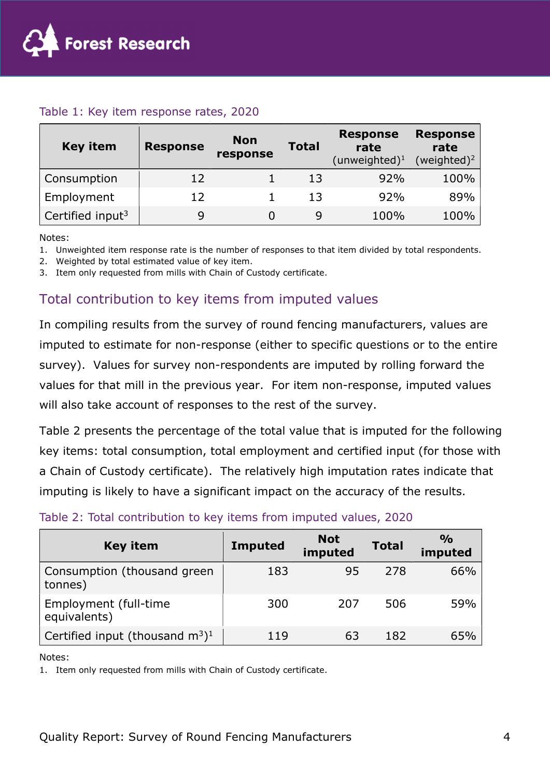

#### Table 1: Key item response rates, 2020

| <b>Key item</b>              | <b>Response</b> | <b>Non</b><br>response | <b>Total</b> | <b>Response</b><br>rate<br>$(unweighted)^1$ | <b>Response</b><br>rate<br>(weighted) <sup>2</sup> |
|------------------------------|-----------------|------------------------|--------------|---------------------------------------------|----------------------------------------------------|
| Consumption                  | 12              |                        | 13           | 92%                                         | 100%                                               |
| Employment                   | 12              |                        | 13           | 92%                                         | 89%                                                |
| Certified input <sup>3</sup> |                 |                        |              | 100%                                        | 100%                                               |

Notes:

1. Unweighted item response rate is the number of responses to that item divided by total respondents.

2. Weighted by total estimated value of key item.

3. Item only requested from mills with Chain of Custody certificate.

## Total contribution to key items from imputed values

In compiling results from the survey of round fencing manufacturers, values are imputed to estimate for non-response (either to specific questions or to the entire survey). Values for survey non-respondents are imputed by rolling forward the values for that mill in the previous year. For item non-response, imputed values will also take account of responses to the rest of the survey.

Table 2 presents the percentage of the total value that is imputed for the following key items: total consumption, total employment and certified input (for those with a Chain of Custody certificate). The relatively high imputation rates indicate that imputing is likely to have a significant impact on the accuracy of the results.

#### Table 2: Total contribution to key items from imputed values, 2020

| <b>Key item</b>                                | <b>Imputed</b> | <b>Not</b><br>imputed | <b>Total</b> | $\frac{O}{O}$<br>imputed |
|------------------------------------------------|----------------|-----------------------|--------------|--------------------------|
| Consumption (thousand green<br>tonnes)         | 183            | 95                    | 278          | 66%                      |
| Employment (full-time<br>equivalents)          | 300            | 207                   | 506          | 59%                      |
| Certified input (thousand $m^3$ ) <sup>1</sup> | 119            | 63                    | 182          | 65%                      |

Notes:

1. Item only requested from mills with Chain of Custody certificate.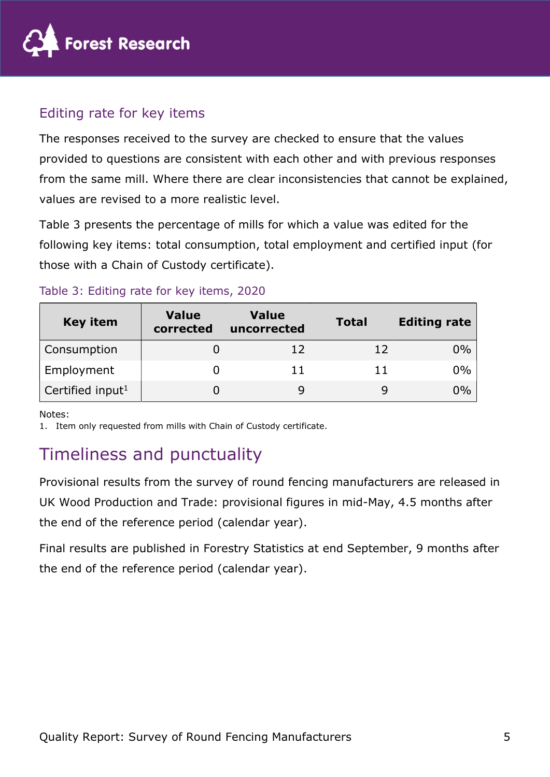

## Editing rate for key items

The responses received to the survey are checked to ensure that the values provided to questions are consistent with each other and with previous responses from the same mill. Where there are clear inconsistencies that cannot be explained, values are revised to a more realistic level.

Table 3 presents the percentage of mills for which a value was edited for the following key items: total consumption, total employment and certified input (for those with a Chain of Custody certificate).

| <b>Key item</b>              | <b>Value</b><br>corrected | Value<br>uncorrected | <b>Total</b> | <b>Editing rate</b> |
|------------------------------|---------------------------|----------------------|--------------|---------------------|
| Consumption                  |                           | 12                   | 12           | $0\%$               |
| Employment                   |                           | 11                   | 11           | $0\%$               |
| Certified input <sup>1</sup> |                           |                      |              | 0%                  |

## Table 3: Editing rate for key items, 2020

Notes:

1. Item only requested from mills with Chain of Custody certificate.

# Timeliness and punctuality

Provisional results from the survey of round fencing manufacturers are released in UK Wood Production and Trade: provisional figures in mid-May, 4.5 months after the end of the reference period (calendar year).

Final results are published in Forestry Statistics at end September, 9 months after the end of the reference period (calendar year).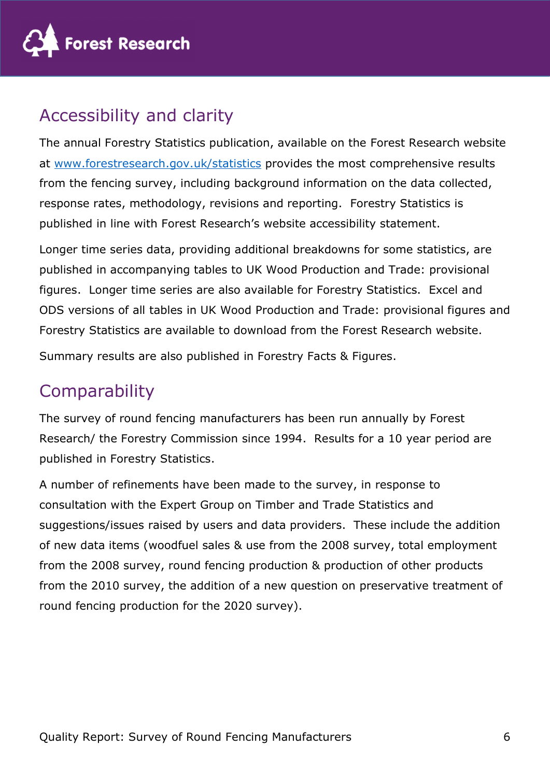

# Accessibility and clarity

The annual Forestry Statistics publication, available on the Forest Research website at www.forestresearch.gov.uk/statistics provides the most comprehensive results from the fencing survey, including background information on the data collected, response rates, methodology, revisions and reporting. Forestry Statistics is published in line with Forest Research's website accessibility statement.

Longer time series data, providing additional breakdowns for some statistics, are published in accompanying tables to UK Wood Production and Trade: provisional figures. Longer time series are also available for Forestry Statistics. Excel and ODS versions of all tables in UK Wood Production and Trade: provisional figures and Forestry Statistics are available to download from the Forest Research website.

Summary results are also published in Forestry Facts & Figures.

# **Comparability**

The survey of round fencing manufacturers has been run annually by Forest Research/ the Forestry Commission since 1994. Results for a 10 year period are published in Forestry Statistics.

A number of refinements have been made to the survey, in response to consultation with the Expert Group on Timber and Trade Statistics and suggestions/issues raised by users and data providers. These include the addition of new data items (woodfuel sales & use from the 2008 survey, total employment from the 2008 survey, round fencing production & production of other products from the 2010 survey, the addition of a new question on preservative treatment of round fencing production for the 2020 survey).